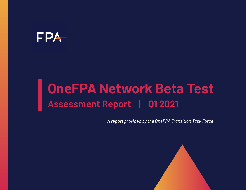## FPA

# **OneFPA Network Beta Test Assessment Report | Q1 2021**

*A report provided by the OneFPA Transition Task Force.*

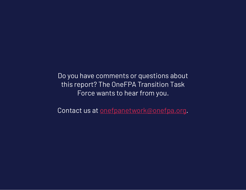Do you have comments or questions about this report? The OneFPA Transition Task Force wants to hear from you.

Contact us at [onefpanetwork@onefpa.org](mailto:onefpanetwork@onefpa.org).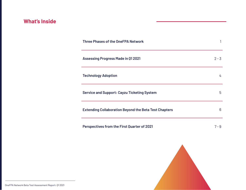## **What's Inside**

| <b>Three Phases of the OneFPA Network</b>                    |         |
|--------------------------------------------------------------|---------|
| <b>Assessing Progress Made in 01 2021</b>                    | $2 - 3$ |
| <b>Technology Adoption</b>                                   | 4       |
| <b>Service and Support: Cayzu Ticketing System</b>           | 5       |
| <b>Extending Collaboration Beyond the Beta Test Chapters</b> | 6       |
| <b>Perspectives from the First Quarter of 2021</b>           | $7 - 9$ |

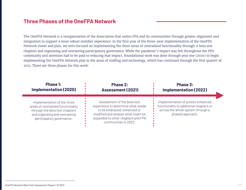#### **Three Phases of the OneFPA Network**

The OneFPA Network is a reorganization of the Association that unites FPA and its communities through greater alignment and integration to support a more robust member experience. In the first year of the three-year implementation of the OneFPA Network vision and plan, we were focused on implementing the three areas of centralized functionality through 11 beta test chapters and organizing and overseeing participatory governance. While the pandemic's impact was felt throughout the FPA community and attention had to be paid to reducing that impact, foundational work was done through year one (2020) to begin implementing the OneFPA Network plan in the areas of staffing and technology, which has continued through the first quarter of 2021. There are three phases for this work:

| <b>Phase 1:</b>                                                                                                                                                   | <b>Phase 2:</b>                                                                                                                                                                                      | Phase 3:                                                                                                                              |
|-------------------------------------------------------------------------------------------------------------------------------------------------------------------|------------------------------------------------------------------------------------------------------------------------------------------------------------------------------------------------------|---------------------------------------------------------------------------------------------------------------------------------------|
| <b>Implementation (2020)</b>                                                                                                                                      | <b>Assessment (2021)</b>                                                                                                                                                                             | <b>Implementation (2022)</b>                                                                                                          |
| Implementation of the three<br>areas of centralized functionality<br>through the beta test chapters<br>and organizing and overseeing<br>participatory governance. | Assessment of the beta test<br>experience to determine what needs<br>to be embraced, enhanced or<br>modified and analyze what might be<br>expanded to other chapters and FPA<br>communities in 2022. | Implementation of proven enhanced<br>functionality to additional chapters or<br>across the whole system through a<br>phased approach. |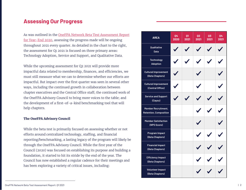#### **Assessing Our Progress**

As was outlined in the [OneFPA Network Beta Test Assessment Report](https://www.financialplanningassociation.org/sites/default/files/2021-01/OneFPA%20Network%20Beta%20Test%20Assessment%20Report%20-%20Q4%202020%20-%20FIN.pdf)  [for Year-End 2020](https://www.financialplanningassociation.org/sites/default/files/2021-01/OneFPA%20Network%20Beta%20Test%20Assessment%20Report%20-%20Q4%202020%20-%20FIN.pdf), assessing the progress made will be ongoing throughout 2021 every quarter. As detailed in the chart to the right, the assessment for Q1 2021 is focused on three primary areas: Technology Adoption, Service and Support, and Qualitative Data.

While the upcoming assessment for Q2 2021 will provide more impactful data related to membership, finances, and efficiencies, we must still measure what we can to determine whether our efforts are impactful. But impact over the first quarter was seen in several other ways, including the continued growth in collaboration between chapter executives and the Central Office staff; the continued work of the OneFPA Advisory Council to bring more voices to the table; and the development of a first-of-a-kind benchmarking tool that will help chapters.

#### **The OneFPA Advisory Council**

While the beta test is primarily focused on assessing whether or not efforts around centralized technology, staffing, and financial reporting/benchmarking, a lasting legacy of the program will likely be through the OneFPA Advisory Council. While the first year of the Council (2020) was focused on establishing its purpose and building a foundation, it started to hit its stride by the end of the year. The Council has now established a regular cadence for their meetings and has been exploring a variety of critical issues, including:

| <b>AREA</b>                                          | 04<br>2020 | 01<br>2021 | 02<br>2021               | 03<br>2021 | 04<br>2021 |
|------------------------------------------------------|------------|------------|--------------------------|------------|------------|
| Qualitative<br><b>Data</b>                           |            |            |                          |            |            |
| <b>Technology</b><br><b>Adoption</b>                 |            |            |                          |            |            |
| <b>Cultural Improvement</b><br>(Beta Chapters)       |            |            |                          |            |            |
| <b>Cultural Improvement</b><br>(Central Office)      | Í          |            | $\overline{\mathscr{N}}$ |            |            |
| <b>Service and Support</b><br>(Cayzu)                |            |            |                          |            |            |
| Member Recruitment,<br><b>Retention, Composition</b> |            |            |                          |            |            |
| <b>Member Satisfaction</b><br>(NPS Score)            |            |            |                          |            |            |
| Program Impact<br>(Beta Chapters)                    |            |            |                          |            |            |
| <b>Financial Impact</b><br>(Beta Chapters)           |            |            |                          |            |            |
| <b>Efficiency Impact</b><br>(Beta Chapters)          |            |            |                          |            |            |
| <b>Volunteer Impact</b><br>(Beta Chapters)           |            |            |                          |            |            |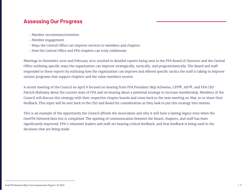#### **Assessing Our Progress**

- Member recruitment/retention
- Member engagement
- Ways the Central Office can improve services to members and chapters
- How the Central Office and FPA chapters can truly collaborate.

Meetings in November 2020 and February 2021 resulted in detailed reports being sent to the FPA Board of Directors and the Central Office outlining specific ways the organization can improve strategically, tactically, and programmatically. The Board and staff responded to these reports by outlining how the organization can improve and offered specific tactics the staff is taking to improve various programs that support chapters and the value members receive.

A recent meeting of the Council on April 8 focused on hearing from FPA President Skip Schweiss, CFP®, AIF®, and FPA CEO Patrick Mahoney about the current state of FPA and on hearing about a potential strategy to increase membership. Members of the Council will discuss this strategy with their respective chapter boards and come back to the next meeting on May 20 to share their feedback. This input will be sent back to the CEO and Board for consideration as they look to put this strategy into motion.

This is an example of the opportunity the Council affords the Association and why it will have a lasting legacy even when the OneFPA Network beta test is completed. The opening of communication between the Board, chapters, and staff has been significantly improved. FPA's volunteer leaders and staff are hearing critical feedback, and that feedback is being used in the decisions that are being made.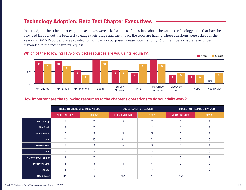### **Technology Adoption: Beta Test Chapter Executives**

In early April, the 11 beta test chapter executives were asked a series of questions about the various technology tools that have been provided throughout the beta test to gauge their usage and the impact the tools are having. These questions were asked for the Year-End 2020 Report and are provided for comparison purposes. Please note that only 10 of the 11 beta chapter executives responded to the recent survey request.



#### **How important are the following resources to the chapter's operations to do your daily work?**

|                       | I NEED THIS RESOURCE TO DO MY JOB |                 |                | I COULD TAKE IT OR LEAVE IT | THIS DOES NOT HELP ME DO MY JOB |               |  |
|-----------------------|-----------------------------------|-----------------|----------------|-----------------------------|---------------------------------|---------------|--|
|                       | YEAR-END 2020                     | 01 20 21        | YEAR-END 2020  | 01 20 21                    | 01 20 21<br>YEAR-END 2020       |               |  |
| <b>FPA Laptop</b>     | 7                                 | 7               | 3              | $\overline{2}$              |                                 |               |  |
| <b>FPA Email</b>      | 8                                 |                 | $\mathfrak{D}$ | $\mathfrak{p}$              |                                 |               |  |
| FPA Phone #           | 5                                 | 3               | 3              | 3                           | 3                               | 4             |  |
| Zoom                  | 11                                | 10              | U              |                             | $\cap$                          |               |  |
| <b>Survey Monkey</b>  |                                   | $\mathsf{R}$    | 4              |                             | $\cap$                          |               |  |
| <b>iMIS</b>           | 9                                 | 8               |                | $\mathcal{P}$               |                                 |               |  |
| MS Office (w/ Teams)  | 9                                 |                 |                |                             | $\bigcap$                       | $\mathcal{P}$ |  |
| <b>Discovery Data</b> | 6                                 | $6\overline{6}$ | 4              | 4                           | $\Omega$                        |               |  |
| Adobe                 | 6                                 |                 | 3              | 3                           |                                 |               |  |
| Media Valet           | N/A                               | 4               | N/A            | 4                           | N/A                             |               |  |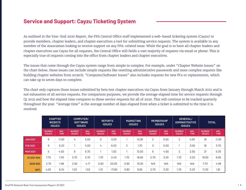#### **Service and Support: Cayzu Ticketing System**

As outlined in the Year-End 2020 Report, the FPA Central Office staff implemented a web-based ticketing system (Cayzu) to provide members, chapter leaders, and chapter executives a tool for submitting service requests. The system is available to any member of the Association looking to receive support on any FPA-related issue. While the goal is to have all chapter leaders and chapter executives use Cayzu for all requests, the Central Office still fields a vast majority of requests via email or phone. This is especially true of requests coming into the office from chapter leaders and chapter executives.

The issues that come through the Cayzu system range from simple to complex. For example, under "Chapter Website Issues" on the chart below, those issues can include simple requests like resetting administrative passwords and more complex requests like building chapter websites from scratch. "Computer/Software Issues" also includes requests for new PCs or replacements, which can take up to seven days to complete.

The chart only captures those issues submitted by beta test chapter executives via Cayzu from January through March 2021 and is not exhaustive of all service requests. For comparison purposes, we provide the average elapsed time for service requests through Q1 2021 and how the elapsed time compares to those service requests for all of 2020. This will continue to be tracked quarterly throughout the year. "Average time" is the average number of days elapsed from when a ticket is submitted to the time it is resolved.

|                 |                                | <b>CHAPTER</b><br><b>WEBSITE</b><br><b>ISSUES</b> | <b>COMPUTER/</b><br><b>SOFTWARE</b> | <b>ISSUES</b>       |                                | <b>REPORTS</b><br><b>ISSUES</b> | <b>MARKETING</b><br><b>ISSUES</b> |                     |                                | <b>MEMBERSHIP</b><br><b>ISSUES</b> | <b>GENERAL/</b><br><b>ADMINISTRATIVE</b><br><b>ISSUES</b> |                     | <b>TOTAL</b>                   |                     |
|-----------------|--------------------------------|---------------------------------------------------|-------------------------------------|---------------------|--------------------------------|---------------------------------|-----------------------------------|---------------------|--------------------------------|------------------------------------|-----------------------------------------------------------|---------------------|--------------------------------|---------------------|
|                 | <b>NUMBER</b><br><b>ISSUES</b> | AVG.<br><b>TIME</b>                               | <b>NUMBER</b><br><b>ISSUES</b>      | AVG.<br><b>TIME</b> | <b>NUMBER</b><br><b>ISSUES</b> | AVG.<br><b>TIME</b>             | <b>NUMBER</b><br><b>ISSUES</b>    | AVG.<br><b>TIME</b> | <b>NUMBER</b><br><b>ISSUES</b> | AVG.<br><b>TIME</b>                | <b>NUMBER</b><br><b>ISSUES</b>                            | AVG.<br><b>TIME</b> | <b>NUMBER</b><br><b>ISSUES</b> | AVG.<br><b>TIME</b> |
| <b>JAN 2021</b> | 9                              | 11.60                                             | 4                                   | 5.50                | 0                              | 0.00                            |                                   | 41.00               | 2                              | 5.50                               | 2                                                         | 4.00                | 18                             | 11.30               |
| <b>FEB 2021</b> | 9                              | 6.20                                              |                                     | 5.00                | 4                              | 6.30                            | 3                                 | 1.70                | 0                              | 0.00                               |                                                           | 3.00                | 18                             | 3.70                |
| <b>MAR 2021</b> | 5                              | 4.00                                              | 6                                   | 6.70                |                                | 1.00                            |                                   | 13.00               | 6                              | 4.50                               | 2                                                         | 2.50                | 21                             | 5.30                |
| 01 2021 AVG.    | 7.70                           | 7.30                                              | 3.70                                | 5.70                | 1.70                           | 2.40                            | 1.70                              | 18.60               | 2.70                           | 3.30                               | 1.70                                                      | 3.20                | 19.00                          | 6.80                |
| 2020 AVG.       | 3.70                           | 1.96                                              | 2.50                                | 4.17                | 0.60                           | 20.00                           | 0.90                              | 10.05               | N/A                            | N/A                                | N/A                                                       | N/A                 | 7.70                           | 4.99                |
| DIFF.           | 4.00                           | 6.34                                              | 1.20                                | 1.53                | 1.10                           | $-17.60$                        | 0.80                              | 8.55                | 2.70                           | 3.30                               | 1.70                                                      | 3.20                | 11.30                          | 1.81                |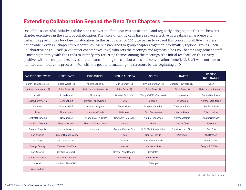#### **Extending Collaboration Beyond the Beta Test Chapters**

One of the successful initiatives of the beta test over the first year was consistently and regularly bringing together the beta test chapter executives in the spirit of collaboration. The twice-monthly calls have proven effective in creating camaraderie and fostering opportunities for close collaboration. In the fist quarter of 2021, we began to expand this concept to all 80+ chapters nationwide. Seven (7) chapter "Collaboratives" were established to group chapters together into smaller, regional groups. Each Collaborative has a 'Lead' (a volunteer chapter executive) who sets the meetings and agendas. The FPA Chapter Engagement staff is meeting monthly with the Leads to identify any recurring themes among the meetings. The initial feedback on this is very positive, with the chapter executives in attendance finding the collaborations and conversations beneficial. Staff will continue to monitor and modify the process in Q2, with the goal of formalizing the structure by the beginning of Q3.

| <b>PACIFIC SOUTHWEST</b> | <b>NORTHEAST</b>             | <b>MIDEASTERN</b>            | <b>MIDDLE AMERICA</b>      | <b>SOUTH</b>            | <b>MIDWEST</b>        | <b>PACIFIC</b><br><b>NORTHWEST</b> |
|--------------------------|------------------------------|------------------------------|----------------------------|-------------------------|-----------------------|------------------------------------|
| Sarah Frankenfeld (L)    | Elissa Weick (L)             | Ann McKenna (L)              | Jim Susman (L)             | Christine Brown (L)     | Jessica Hawthorne (L) | Open                               |
| Melissa Manchester (S)   | Elise Fette (S)              | Melissa Manchester (S)       | Elise Fette (S)            | Elise Fette (S)         | Elise Fette (S)       | Melissa Manchester (S)             |
| Austin                   | Long Island                  | Pittsburgh                   | Greater St. Louis          | Tampa/NE FL/Suncoast    | Minnesota             | Central California                 |
| Dallas/Fort Worth        | Connecticut                  | Central Pennsylvania         | lowa                       | Georgia                 | Wisconsin             | Northern California                |
| Houston                  | Northern N.E.                | Central Virginia             | Eastern lowa               | <b>Greater Memphis</b>  | Greater Indiana       | San Francisco                      |
| Tulsa                    | Rhode Island                 | <b>Hampton Roads</b>         | Nebraska                   | East Tennessee          | Kentuckiana           | <b>Silicon Valley</b>              |
| Central Oklahoma         | New Jersey                   | Philadelphia/Tri-State       | Southern Colorado          | Middle Tennessee        | Northeast Ohio        | San Gabriel Valley                 |
| Southern Arizona         | Metro New York               | <b>National Capital Area</b> | <b>Illinois</b>            | Miami                   | <b>Central Ohio</b>   | Spokane                            |
| <b>Greater Phoenix</b>   | Massachusetts                | Maryland                     | Greater Kansas City        | N. AL/Gulf States/Miss. | Southwestern Ohio     | East Bay                           |
| Los Angeles              | <b>Greater Hudson Valley</b> |                              | <b>Utah</b>                | <b>Central Florida</b>  | Michigan              | Mid Oregon                         |
| San Diego                | Northeastern N.Y.            |                              | Colorado                   | Southwest Florida       |                       | <b>Puget Sound</b>                 |
| Orange County            | <b>Western New York</b>      |                              | Kansas                     | South Carolina          |                       | Oregon & SW Wash.                  |
| San Antonio              | <b>Central New York</b>      |                              | <b>Greater New Orleans</b> | Charlotte               |                       |                                    |
| Ventura County           | <b>Greater Rochester</b>     |                              | <b>Baton Rouge</b>         | South Florida           |                       |                                    |
| Hawaii                   | Southern Tier of N.Y.        |                              |                            | Triangle                |                       |                                    |
| <b>West Valleys</b>      |                              |                              |                            |                         |                       |                                    |

 $L =$  Lead  $S =$  Staff Liaison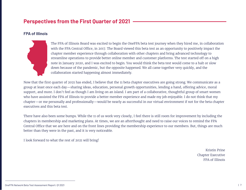## **Perspectives from the First Quarter of 2021**

#### **FPA of Illinois**



The FPA of Illinois Board was excited to begin the OneFPA beta test journey when they hired me, in collaboration with the FPA Central Office, in 2017. The Board viewed this beta test as an opportunity to positively impact the chapter member experience through collaboration with other chapters and bring advanced technology to streamline operations to provide better online member and customer platforms. The test started off on a high note in January 2020, and I was excited to begin. You would think the beta test would come to a halt or slow down because of the pandemic, but the opposite happened. We all came together very quickly, and the collaboration started happening almost immediately.

Now that the first quarter of 2021 has ended, I believe that the 11 beta chapter executives are going strong. We communicate as a group at least once each day—sharing ideas, education, personal growth opportunities, lending a hand, offering advice, moral support, and more. I don't feel as though I am living on an island. I am part of a collaborative, thoughtful group of smart women who have assisted the FPA of Illinois to provide a better member experience and made my job enjoyable. I do not think that my chapter—or me personally and professionally—would be nearly as successful in our virtual environment if not for the beta chapter executives and this beta test.

There have also been some bumps. While the 11 of us work very closely, I feel there is still room for improvement by including the chapters in membership and marketing plans. At times, we are an afterthought and need to raise our voices to remind the FPA Central Office that we are here and on the front lines providing the membership experience to our members. But, things are much better than they were in the past, and it is very noticeable.

I look forward to what the rest of 2021 will bring!

Kristin Prine Chapter Executive FPA of Illinois

OneFPA Network Beta Test Assessment Report: Q1 2021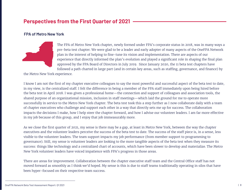## **Perspectives from the First Quarter of 2021**

#### **FPA of Metro New York**



The FPA of Metro New York chapter, newly formed under FPA's corporate status in 2018, was in many ways a pre-beta test chapter. We were glad to be a leader and early adopter of many aspects of the OneFPA Network plan in the interest of helping to fine-tune its vision and implementation. There are aspects of our experience that directly informed the plan's evolution and played a significant role in shaping the final plan approved by the FPA Board of Directors in July 2019. Since January 2020, the 11 beta test chapters have followed a path charted in large part (and in certain key areas, such as staffing, governance, and finance) by

the Metro New York experience.

I know I am not the first of my chapter executive colleagues to say the most powerful and successful aspect of the beta test to date, in my view, is the centralized staff. I felt the difference in being a member of the FPA staff immediately upon being hired before the beta test in April 2018. I was given a professional home—the connection and support of colleagues and association tools, the shared purpose of an organizational mission, inclusion in staff meetings—which laid the ground for me to operate more successfully in service to the Metro New York chapter. The beta test took this a step further as I now collaborate daily with a team of chapter executives who challenge and support each other in a way that directly sets me up for success. The collaboration impacts the decisions I make, how I help steer the chapter forward, and how I advise our volunteer leaders. I am far more effective in my job because of this group, and I enjoy that job immeasurably more.

As we close the first quarter of 2021, my sense is there may be a gap, at least in Metro New York, between the way the chapter executives and the volunteer leaders perceive the success of the beta test to date. The success of the staff piece is, in a sense, less visible to the volunteer leaders. The team support impacts my job performance (from member support to programming to governance). Still, my sense is volunteer leaders are looking to the more tangible aspects of the beta test when they measure its success: things like technology and a centralized chart of accounts, which have been slower to develop and materialize. The Metro New York volunteer leaders have voiced impatience with FPA's progress in those areas.

There are areas for improvement. Collaboration between the chapter executive staff team and the Central Office staff has not moved forward as smoothly as I think we'd hoped. My sense is this is due to staff teams traditionally operating in silos that have been hyper-focused on their respective team success.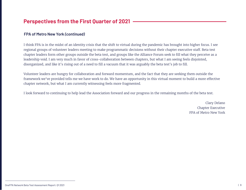### **Perspectives from the First Quarter of 2021**

#### **FPA of Metro New York** *(continued)*

I think FPA is in the midst of an identity crisis that the shift to virtual during the pandemic has brought into higher focus. I see regional groups of volunteer leaders meeting to make programmatic decisions without their chapter executive staff. Beta test chapter leaders form other groups outside the beta test, and groups like the Alliance Forum seek to fill what they perceive as a leadership void. I am very much in favor of cross-collaboration between chapters, but what I am seeing feels disjointed, disorganized, and like it's rising out of a need to fill a vacuum that it was arguably the beta test's job to fill.

Volunteer leaders are hungry for collaboration and forward momentum, and the fact that they are seeking them outside the framework we've provided tells me we have work to do. We have an opportunity in this virtual moment to build a more effective chapter network, but what I am currently witnessing feels more fragmented.

I look forward to continuing to help lead the Association forward and our progress in the remaining months of the beta test.

Clary Delano Chapter Executive FPA of Metro New York